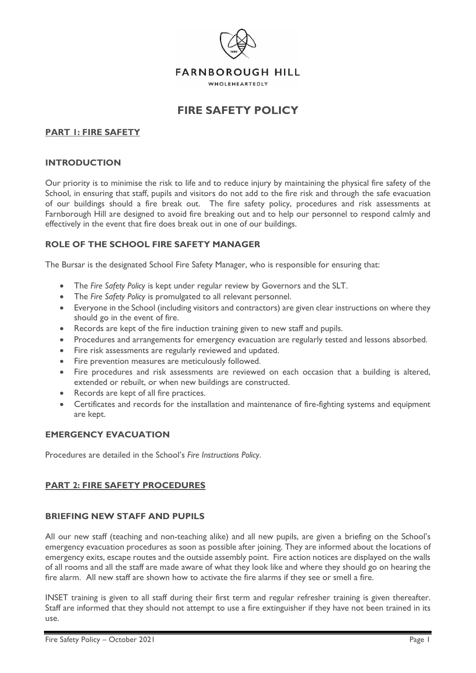

# **FIRE SAFETY POLICY**

# **PART 1: FIRE SAFETY**

#### **INTRODUCTION**

Our priority is to minimise the risk to life and to reduce injury by maintaining the physical fire safety of the School, in ensuring that staff, pupils and visitors do not add to the fire risk and through the safe evacuation of our buildings should a fire break out. The fire safety policy, procedures and risk assessments at Farnborough Hill are designed to avoid fire breaking out and to help our personnel to respond calmly and effectively in the event that fire does break out in one of our buildings.

## **ROLE OF THE SCHOOL FIRE SAFETY MANAGER**

The Bursar is the designated School Fire Safety Manager, who is responsible for ensuring that:

- The *Fire Safety Policy* is kept under regular review by Governors and the SLT.
- The *Fire Safety Policy* is promulgated to all relevant personnel.
- Everyone in the School (including visitors and contractors) are given clear instructions on where they should go in the event of fire.
- Records are kept of the fire induction training given to new staff and pupils.
- Procedures and arrangements for emergency evacuation are regularly tested and lessons absorbed.
- Fire risk assessments are regularly reviewed and updated.
- Fire prevention measures are meticulously followed.
- Fire procedures and risk assessments are reviewed on each occasion that a building is altered, extended or rebuilt, or when new buildings are constructed.
- Records are kept of all fire practices.
- Certificates and records for the installation and maintenance of fire-fighting systems and equipment are kept.

## **EMERGENCY EVACUATION**

Procedures are detailed in the School's *Fire Instructions Policy*.

## **PART 2: FIRE SAFETY PROCEDURES**

## **BRIEFING NEW STAFF AND PUPILS**

All our new staff (teaching and non-teaching alike) and all new pupils, are given a briefing on the School's emergency evacuation procedures as soon as possible after joining. They are informed about the locations of emergency exits, escape routes and the outside assembly point. Fire action notices are displayed on the walls of all rooms and all the staff are made aware of what they look like and where they should go on hearing the fire alarm. All new staff are shown how to activate the fire alarms if they see or smell a fire.

INSET training is given to all staff during their first term and regular refresher training is given thereafter. Staff are informed that they should not attempt to use a fire extinguisher if they have not been trained in its use.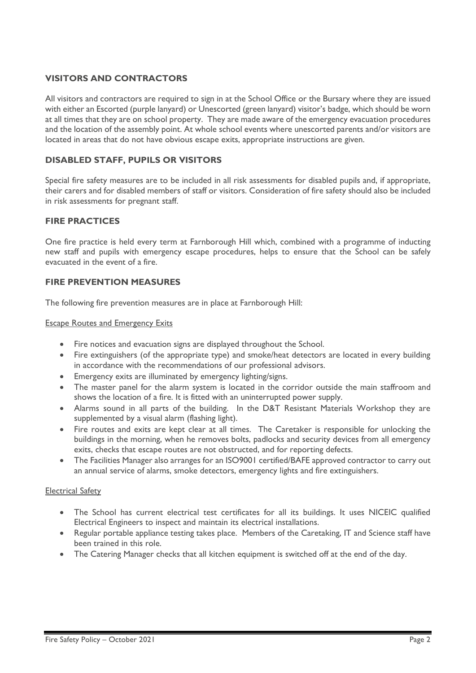# **VISITORS AND CONTRACTORS**

All visitors and contractors are required to sign in at the School Office or the Bursary where they are issued with either an Escorted (purple lanyard) or Unescorted (green lanyard) visitor's badge, which should be worn at all times that they are on school property. They are made aware of the emergency evacuation procedures and the location of the assembly point. At whole school events where unescorted parents and/or visitors are located in areas that do not have obvious escape exits, appropriate instructions are given.

## **DISABLED STAFF, PUPILS OR VISITORS**

Special fire safety measures are to be included in all risk assessments for disabled pupils and, if appropriate, their carers and for disabled members of staff or visitors. Consideration of fire safety should also be included in risk assessments for pregnant staff.

## **FIRE PRACTICES**

One fire practice is held every term at Farnborough Hill which, combined with a programme of inducting new staff and pupils with emergency escape procedures, helps to ensure that the School can be safely evacuated in the event of a fire.

## **FIRE PREVENTION MEASURES**

The following fire prevention measures are in place at Farnborough Hill:

Escape Routes and Emergency Exits

- Fire notices and evacuation signs are displayed throughout the School.
- Fire extinguishers (of the appropriate type) and smoke/heat detectors are located in every building in accordance with the recommendations of our professional advisors.
- Emergency exits are illuminated by emergency lighting/signs.
- The master panel for the alarm system is located in the corridor outside the main staffroom and shows the location of a fire. It is fitted with an uninterrupted power supply.
- Alarms sound in all parts of the building. In the D&T Resistant Materials Workshop they are supplemented by a visual alarm (flashing light).
- Fire routes and exits are kept clear at all times. The Caretaker is responsible for unlocking the buildings in the morning, when he removes bolts, padlocks and security devices from all emergency exits, checks that escape routes are not obstructed, and for reporting defects.
- The Facilities Manager also arranges for an ISO9001 certified/BAFE approved contractor to carry out an annual service of alarms, smoke detectors, emergency lights and fire extinguishers.

## Electrical Safety

- The School has current electrical test certificates for all its buildings. It uses NICEIC qualified Electrical Engineers to inspect and maintain its electrical installations.
- Regular portable appliance testing takes place. Members of the Caretaking, IT and Science staff have been trained in this role.
- The Catering Manager checks that all kitchen equipment is switched off at the end of the day.